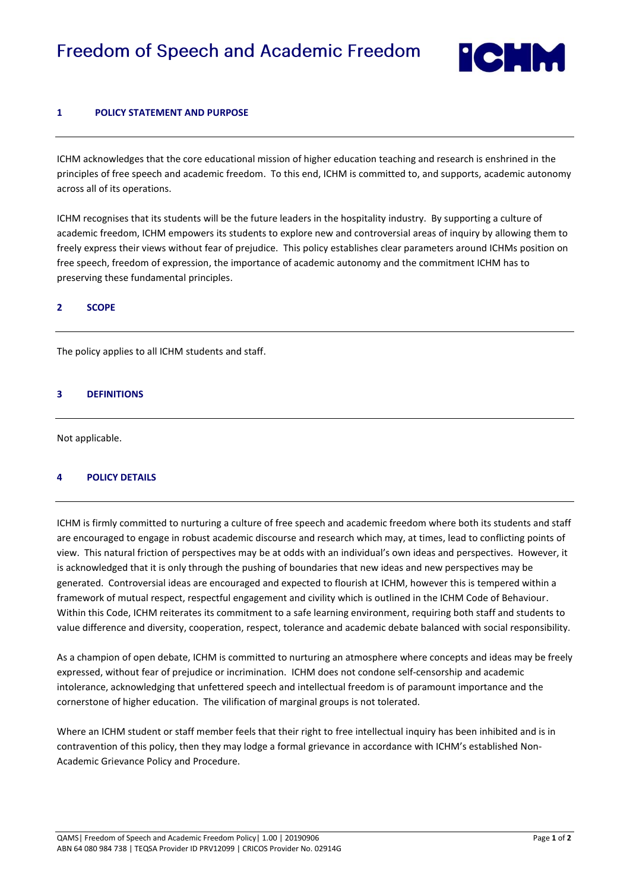# **Freedom of Speech and Academic Freedom**



# **1 POLICY STATEMENT AND PURPOSE**

ICHM acknowledges that the core educational mission of higher education teaching and research is enshrined in the principles of free speech and academic freedom. To this end, ICHM is committed to, and supports, academic autonomy across all of its operations.

ICHM recognises that its students will be the future leaders in the hospitality industry. By supporting a culture of academic freedom, ICHM empowers its students to explore new and controversial areas of inquiry by allowing them to freely express their views without fear of prejudice. This policy establishes clear parameters around ICHMs position on free speech, freedom of expression, the importance of academic autonomy and the commitment ICHM has to preserving these fundamental principles.

## **2 SCOPE**

The policy applies to all ICHM students and staff.

## **3 DEFINITIONS**

Not applicable.

#### **4 POLICY DETAILS**

ICHM is firmly committed to nurturing a culture of free speech and academic freedom where both its students and staff are encouraged to engage in robust academic discourse and research which may, at times, lead to conflicting points of view. This natural friction of perspectives may be at odds with an individual's own ideas and perspectives. However, it is acknowledged that it is only through the pushing of boundaries that new ideas and new perspectives may be generated. Controversial ideas are encouraged and expected to flourish at ICHM, however this is tempered within a framework of mutual respect, respectful engagement and civility which is outlined in the ICHM Code of Behaviour. Within this Code, ICHM reiterates its commitment to a safe learning environment, requiring both staff and students to value difference and diversity, cooperation, respect, tolerance and academic debate balanced with social responsibility.

As a champion of open debate, ICHM is committed to nurturing an atmosphere where concepts and ideas may be freely expressed, without fear of prejudice or incrimination. ICHM does not condone self-censorship and academic intolerance, acknowledging that unfettered speech and intellectual freedom is of paramount importance and the cornerstone of higher education. The vilification of marginal groups is not tolerated.

Where an ICHM student or staff member feels that their right to free intellectual inquiry has been inhibited and is in contravention of this policy, then they may lodge a formal grievance in accordance with ICHM's established Non-Academic Grievance Policy and Procedure.